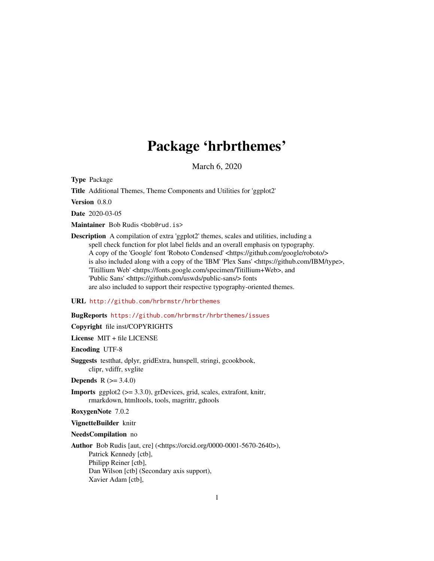# Package 'hrbrthemes'

March 6, 2020

<span id="page-0-0"></span>Type Package

Title Additional Themes, Theme Components and Utilities for 'ggplot2'

Version 0.8.0

Date 2020-03-05

Maintainer Bob Rudis <bob@rud.is>

Description A compilation of extra 'ggplot2' themes, scales and utilities, including a spell check function for plot label fields and an overall emphasis on typography. A copy of the 'Google' font 'Roboto Condensed' <https://github.com/google/roboto/> is also included along with a copy of the 'IBM' 'Plex Sans' <https://github.com/IBM/type>, 'Titillium Web' <https://fonts.google.com/specimen/Titillium+Web>, and 'Public Sans' <https://github.com/uswds/public-sans/> fonts are also included to support their respective typography-oriented themes.

### URL <http://github.com/hrbrmstr/hrbrthemes>

### BugReports <https://github.com/hrbrmstr/hrbrthemes/issues>

Copyright file inst/COPYRIGHTS

License MIT + file LICENSE

Encoding UTF-8

Suggests testthat, dplyr, gridExtra, hunspell, stringi, gcookbook, clipr, vdiffr, svglite

**Depends**  $R$  ( $>= 3.4.0$ )

Imports ggplot2 (>= 3.3.0), grDevices, grid, scales, extrafont, knitr, rmarkdown, htmltools, tools, magrittr, gdtools

RoxygenNote 7.0.2

VignetteBuilder knitr

NeedsCompilation no

Author Bob Rudis [aut, cre] (<https://orcid.org/0000-0001-5670-2640>), Patrick Kennedy [ctb], Philipp Reiner [ctb], Dan Wilson [ctb] (Secondary axis support), Xavier Adam [ctb],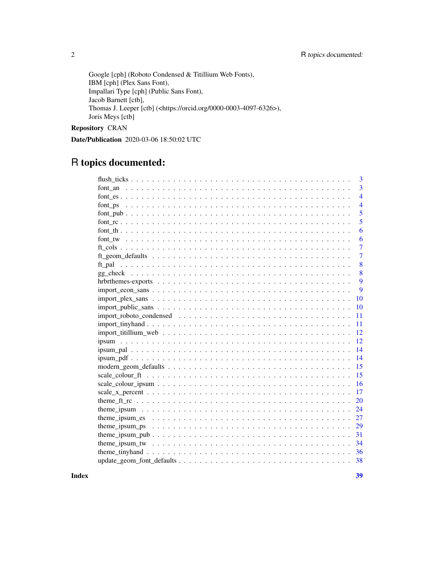Google [cph] (Roboto Condensed & Titillium Web Fonts), IBM [cph] (Plex Sans Font), Impallari Type [cph] (Public Sans Font), Jacob Barnett [ctb], Thomas J. Leeper [ctb] (<https://orcid.org/0000-0003-4097-6326>), Joris Meys [ctb]

Repository CRAN

Date/Publication 2020-03-06 18:50:02 UTC

# R topics documented:

|                                                                                                          | 3              |
|----------------------------------------------------------------------------------------------------------|----------------|
|                                                                                                          | $\overline{3}$ |
|                                                                                                          | $\overline{4}$ |
|                                                                                                          | $\overline{4}$ |
|                                                                                                          | 5              |
|                                                                                                          | 5              |
|                                                                                                          | 6              |
|                                                                                                          | 6              |
|                                                                                                          | 7              |
|                                                                                                          | 7              |
|                                                                                                          | 8              |
|                                                                                                          | 8              |
|                                                                                                          | 9              |
| $import\_econ\_sans \ldots \ldots \ldots \ldots \ldots \ldots \ldots \ldots \ldots \ldots \ldots \ldots$ | 9              |
|                                                                                                          | 10             |
|                                                                                                          | 10             |
|                                                                                                          | 11             |
|                                                                                                          | 11             |
|                                                                                                          | 12             |
|                                                                                                          | 12             |
|                                                                                                          | 14             |
|                                                                                                          | 14             |
|                                                                                                          | 15             |
|                                                                                                          | 15             |
|                                                                                                          | 16             |
|                                                                                                          | 17             |
|                                                                                                          | 20             |
|                                                                                                          | 24             |
|                                                                                                          | 27             |
|                                                                                                          | 29             |
|                                                                                                          | 31             |
|                                                                                                          |                |
|                                                                                                          |                |
|                                                                                                          | 38             |

**Index** [39](#page-38-0)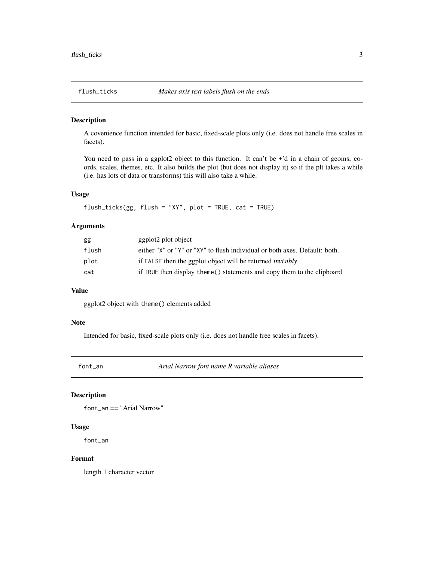<span id="page-2-0"></span>

### Description

A covenience function intended for basic, fixed-scale plots only (i.e. does not handle free scales in facets).

You need to pass in a ggplot2 object to this function. It can't be +'d in a chain of geoms, coords, scales, themes, etc. It also builds the plot (but does not display it) so if the plt takes a while (i.e. has lots of data or transforms) this will also take a while.

# Usage

flush\_ticks(gg, flush = "XY", plot = TRUE, cat = TRUE)

# Arguments

| gg    | ggplot2 plot object                                                        |
|-------|----------------------------------------------------------------------------|
| flush | either "X" or "Y" or "XY" to flush individual or both axes. Default: both. |
| plot  | if FALSE then the ggplot object will be returned <i>invisibly</i>          |
| cat   | if TRUE then display theme () statements and copy them to the clipboard    |

### Value

ggplot2 object with theme() elements added

### Note

Intended for basic, fixed-scale plots only (i.e. does not handle free scales in facets).

font\_an *Arial Narrow font name R variable aliases*

### Description

font\_an == "Arial Narrow"

### Usage

font\_an

### Format

length 1 character vector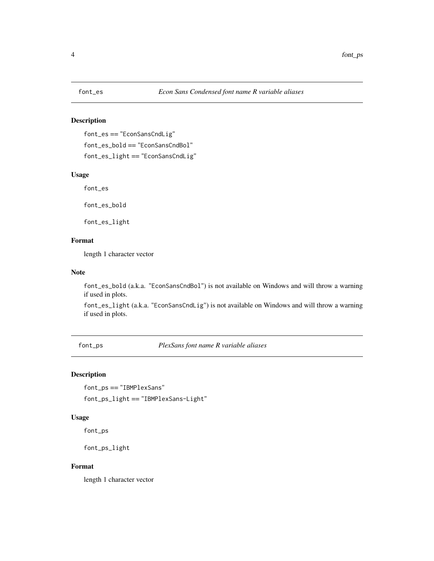<span id="page-3-0"></span>

# **Description**

font\_es == "EconSansCndLig" font\_es\_bold == "EconSansCndBol" font\_es\_light == "EconSansCndLig"

# Usage

font\_es

font\_es\_bold

font\_es\_light

# Format

length 1 character vector

# Note

font\_es\_bold (a.k.a. "EconSansCndBol") is not available on Windows and will throw a warning if used in plots.

font\_es\_light (a.k.a. "EconSansCndLig") is not available on Windows and will throw a warning if used in plots.

font\_ps *PlexSans font name R variable aliases*

# Description

```
font_ps == "IBMPlexSans"
font_ps_light == "IBMPlexSans-Light"
```
# Usage

font\_ps

font\_ps\_light

### Format

length 1 character vector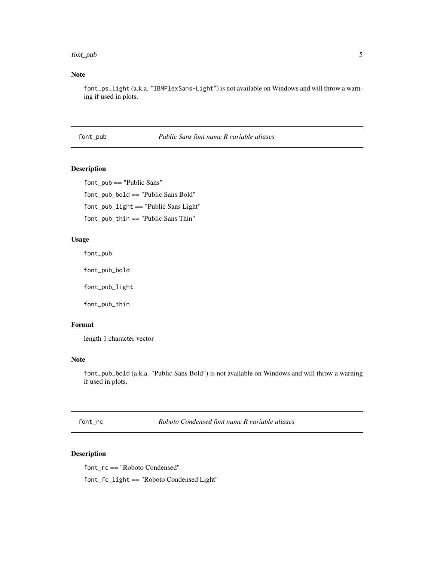### <span id="page-4-0"></span>font\_pub 5

# Note

font\_ps\_light (a.k.a. "IBMPlexSans-Light") is not available on Windows and will throw a warning if used in plots.

# font\_pub *Public Sans font name R variable aliases*

### Description

font\_pub == "Public Sans" font\_pub\_bold == "Public Sans Bold" font\_pub\_light == "Public Sans Light" font\_pub\_thin == "Public Sans Thin"

### Usage

font\_pub

font\_pub\_bold

font\_pub\_light

font\_pub\_thin

### Format

length 1 character vector

### Note

font\_pub\_bold (a.k.a. "Public Sans Bold") is not available on Windows and will throw a warning if used in plots.

font\_rc *Roboto Condensed font name R variable aliases*

### Description

font\_rc == "Roboto Condensed" font\_fc\_light == "Roboto Condensed Light"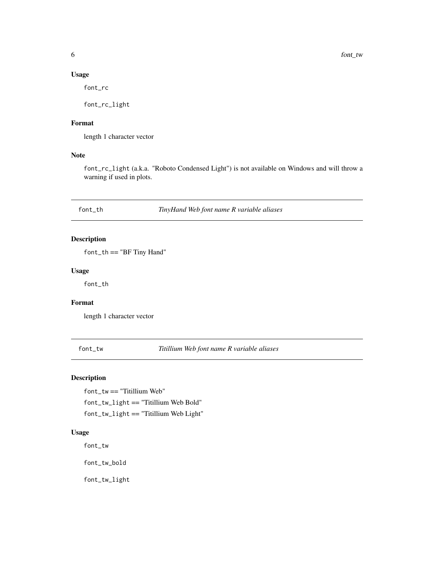# <span id="page-5-0"></span>Usage

font\_rc

font\_rc\_light

# Format

length 1 character vector

# Note

font\_rc\_light (a.k.a. "Roboto Condensed Light") is not available on Windows and will throw a warning if used in plots.

font\_th *TinyHand Web font name R variable aliases*

# Description

font\_th == "BF Tiny Hand"

### Usage

font\_th

### Format

length 1 character vector

font\_tw *Titillium Web font name R variable aliases*

# Description

font\_tw == "Titillium Web" font\_tw\_light == "Titillium Web Bold" font\_tw\_light == "Titillium Web Light"

# Usage

font\_tw

font\_tw\_bold

font\_tw\_light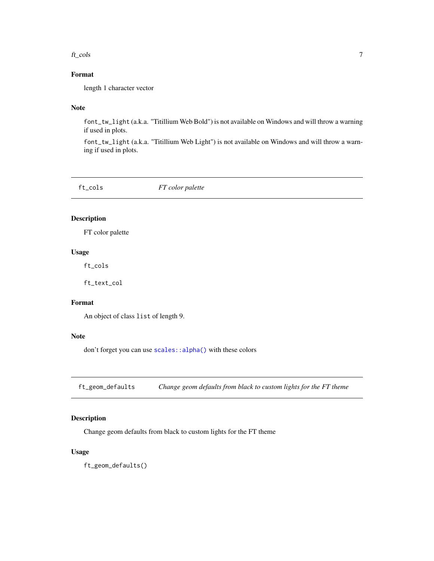### <span id="page-6-0"></span>ft\_cols 7

# Format

length 1 character vector

### Note

font\_tw\_light (a.k.a. "Titillium Web Bold") is not available on Windows and will throw a warning if used in plots.

font\_tw\_light (a.k.a. "Titillium Web Light") is not available on Windows and will throw a warning if used in plots.

ft\_cols *FT color palette*

# Description

FT color palette

### Usage

ft\_cols

ft\_text\_col

# Format

An object of class list of length 9.

# Note

don't forget you can use [scales::alpha\(\)](#page-0-0) with these colors

ft\_geom\_defaults *Change geom defaults from black to custom lights for the FT theme*

# Description

Change geom defaults from black to custom lights for the FT theme

# Usage

ft\_geom\_defaults()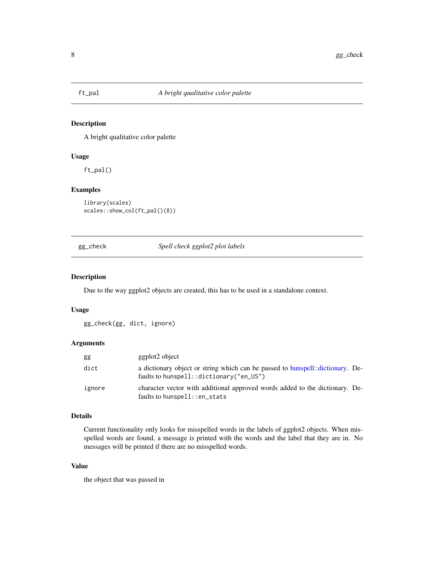<span id="page-7-1"></span><span id="page-7-0"></span>

### Description

A bright qualitative color palette

# Usage

ft\_pal()

# Examples

```
library(scales)
scales::show_col(ft_pal()(8))
```
gg\_check *Spell check ggplot2 plot labels*

# **Description**

Due to the way ggplot2 objects are created, this has to be used in a standalone context.

### Usage

```
gg_check(gg, dict, ignore)
```
# Arguments

| gg     | ggplot <sub>2</sub> object                                                                                                  |  |
|--------|-----------------------------------------------------------------------------------------------------------------------------|--|
| dict   | a dictionary object or string which can be passed to hunspell: dictionary. De-<br>faults to hunspell:: dictionary ("en_US") |  |
| ignore | character vector with additional approved words added to the dictionary. De-<br>faults to hunspell::en_stats                |  |

### Details

Current functionality only looks for misspelled words in the labels of ggplot2 objects. When misspelled words are found, a message is printed with the words and the label that they are in. No messages will be printed if there are no misspelled words.

# Value

the object that was passed in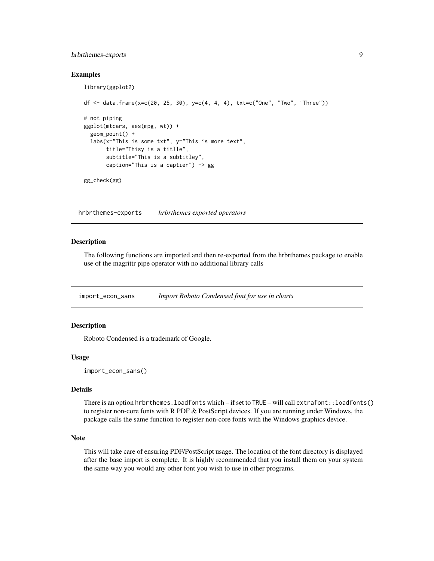# <span id="page-8-0"></span>hrbrthemes-exports 9

### Examples

```
library(ggplot2)
df <- data.frame(x=c(20, 25, 30), y=c(4, 4, 4), txt=c("One", "Two", "Three"))
# not piping
ggplot(mtcars, aes(mpg, wt)) +
 geom_point() +
 labs(x="This is some txt", y="This is more text",
       title="Thisy is a titlle",
       subtitle="This is a subtitley",
       caption="This is a captien") -> gg
gg_check(gg)
```
hrbrthemes-exports *hrbrthemes exported operators*

### Description

The following functions are imported and then re-exported from the hrbrthemes package to enable use of the magrittr pipe operator with no additional library calls

<span id="page-8-1"></span>import\_econ\_sans *Import Roboto Condensed font for use in charts*

### **Description**

Roboto Condensed is a trademark of Google.

### Usage

```
import_econ_sans()
```
# Details

There is an option hrbrthemes.loadfonts which – if set to TRUE – will call extrafont::loadfonts() to register non-core fonts with R PDF  $&$  PostScript devices. If you are running under Windows, the package calls the same function to register non-core fonts with the Windows graphics device.

### Note

This will take care of ensuring PDF/PostScript usage. The location of the font directory is displayed after the base import is complete. It is highly recommended that you install them on your system the same way you would any other font you wish to use in other programs.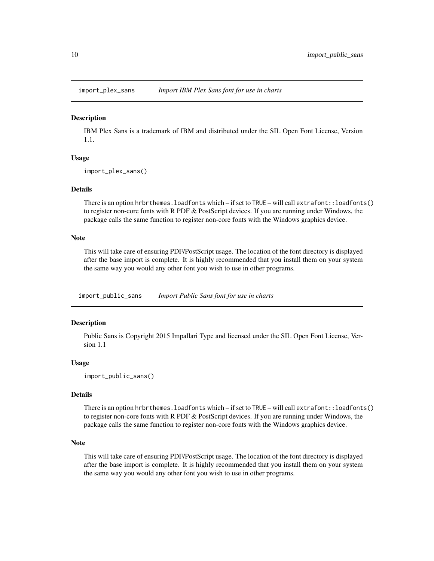<span id="page-9-1"></span><span id="page-9-0"></span>

### **Description**

IBM Plex Sans is a trademark of IBM and distributed under the SIL Open Font License, Version 1.1.

#### Usage

```
import_plex_sans()
```
### Details

There is an option hrbrthemes.loadfonts which – if set to TRUE – will call extrafont::loadfonts() to register non-core fonts with R PDF  $&$  PostScript devices. If you are running under Windows, the package calls the same function to register non-core fonts with the Windows graphics device.

# Note

This will take care of ensuring PDF/PostScript usage. The location of the font directory is displayed after the base import is complete. It is highly recommended that you install them on your system the same way you would any other font you wish to use in other programs.

<span id="page-9-2"></span>import\_public\_sans *Import Public Sans font for use in charts*

### Description

Public Sans is Copyright 2015 Impallari Type and licensed under the SIL Open Font License, Version 1.1

### Usage

import\_public\_sans()

### Details

There is an option hrbrthemes.loadfonts which – if set to TRUE – will call extrafont::loadfonts() to register non-core fonts with R PDF & PostScript devices. If you are running under Windows, the package calls the same function to register non-core fonts with the Windows graphics device.

### **Note**

This will take care of ensuring PDF/PostScript usage. The location of the font directory is displayed after the base import is complete. It is highly recommended that you install them on your system the same way you would any other font you wish to use in other programs.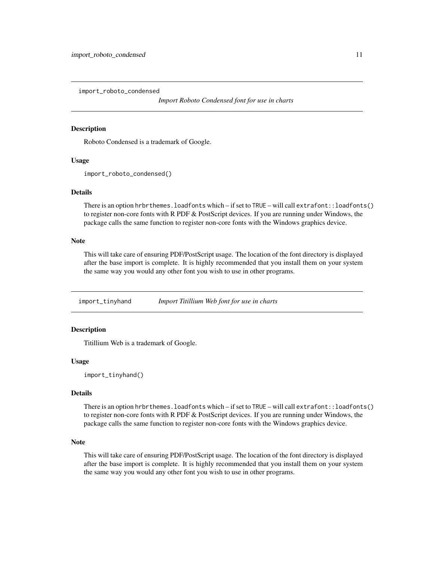<span id="page-10-1"></span><span id="page-10-0"></span>import\_roboto\_condensed

*Import Roboto Condensed font for use in charts*

### Description

Roboto Condensed is a trademark of Google.

### Usage

```
import_roboto_condensed()
```
### Details

There is an option hrbrthemes.loadfonts which – if set to TRUE – will call extrafont::loadfonts() to register non-core fonts with R PDF & PostScript devices. If you are running under Windows, the package calls the same function to register non-core fonts with the Windows graphics device.

### **Note**

This will take care of ensuring PDF/PostScript usage. The location of the font directory is displayed after the base import is complete. It is highly recommended that you install them on your system the same way you would any other font you wish to use in other programs.

<span id="page-10-2"></span>import\_tinyhand *Import Titillium Web font for use in charts*

# **Description**

Titillium Web is a trademark of Google.

# Usage

import\_tinyhand()

# Details

There is an option hrbrthemes.loadfonts which – if set to TRUE – will call extrafont::loadfonts() to register non-core fonts with R PDF  $&$  PostScript devices. If you are running under Windows, the package calls the same function to register non-core fonts with the Windows graphics device.

### **Note**

This will take care of ensuring PDF/PostScript usage. The location of the font directory is displayed after the base import is complete. It is highly recommended that you install them on your system the same way you would any other font you wish to use in other programs.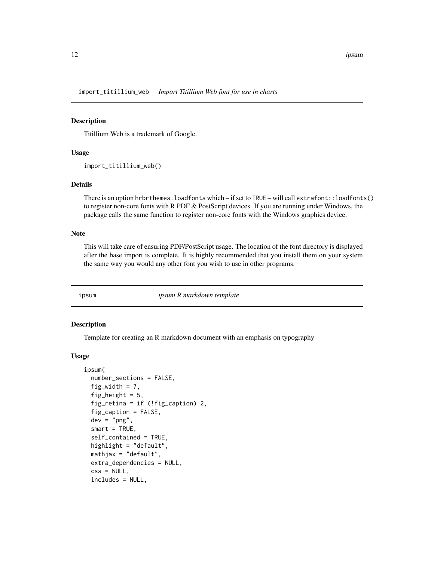<span id="page-11-1"></span><span id="page-11-0"></span>import\_titillium\_web *Import Titillium Web font for use in charts*

### Description

Titillium Web is a trademark of Google.

### Usage

import\_titillium\_web()

# Details

There is an option hrbrthemes.loadfonts which – if set to TRUE – will call extrafont::loadfonts() to register non-core fonts with R PDF & PostScript devices. If you are running under Windows, the package calls the same function to register non-core fonts with the Windows graphics device.

### Note

This will take care of ensuring PDF/PostScript usage. The location of the font directory is displayed after the base import is complete. It is highly recommended that you install them on your system the same way you would any other font you wish to use in other programs.

ipsum *ipsum R markdown template*

### **Description**

Template for creating an R markdown document with an emphasis on typography

```
ipsum(
  number_sections = FALSE,
  fig_width = 7,
  fig_height = 5,
  fig_retina = if (!fig_caption) 2,
  fig_caption = FALSE,
  dev = "png",smart = TRUE,
  self_contained = TRUE,
  highlight = "default",
 mathjax = "default",
  extra_dependencies = NULL,
  \text{css} = \text{NULL},
  includes = NULL,
```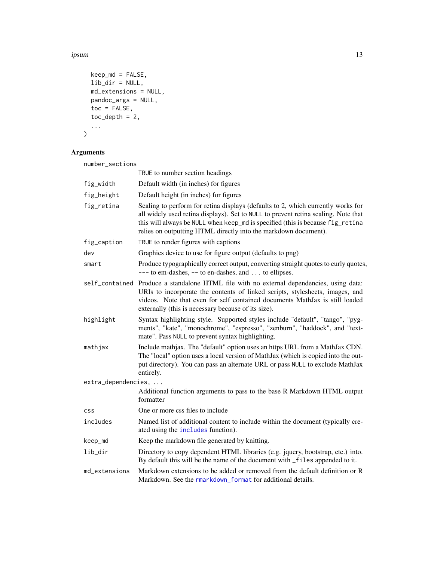### <span id="page-12-0"></span>ipsum the contract of the contract of the contract of the contract of the contract of the contract of the contract of the contract of the contract of the contract of the contract of the contract of the contract of the cont

```
keep_md = FALSE,
  lib_dir = NULL,
  md_extensions = NULL,
  pandoc_args = NULL,
  \text{toc} = \text{FALSE},
  toc\_depth = 2,
   ...
\lambda
```
# Arguments

| number_sections     |                                                                                                                                                                                                                                                                                                                             |
|---------------------|-----------------------------------------------------------------------------------------------------------------------------------------------------------------------------------------------------------------------------------------------------------------------------------------------------------------------------|
|                     | TRUE to number section headings                                                                                                                                                                                                                                                                                             |
| fig_width           | Default width (in inches) for figures                                                                                                                                                                                                                                                                                       |
| fig_height          | Default height (in inches) for figures                                                                                                                                                                                                                                                                                      |
| fig_retina          | Scaling to perform for retina displays (defaults to 2, which currently works for<br>all widely used retina displays). Set to NULL to prevent retina scaling. Note that<br>this will always be NULL when keep_md is specified (this is because fig_retina<br>relies on outputting HTML directly into the markdown document). |
| fig_caption         | TRUE to render figures with captions                                                                                                                                                                                                                                                                                        |
| dev                 | Graphics device to use for figure output (defaults to png)                                                                                                                                                                                                                                                                  |
| smart               | Produce typographically correct output, converting straight quotes to curly quotes,<br>$---$ to em-dashes, $---$ to en-dashes, and  to ellipses.                                                                                                                                                                            |
|                     | self_contained Produce a standalone HTML file with no external dependencies, using data:<br>URIs to incorporate the contents of linked scripts, stylesheets, images, and<br>videos. Note that even for self contained documents MathJax is still loaded<br>externally (this is necessary because of its size).              |
| highlight           | Syntax highlighting style. Supported styles include "default", "tango", "pyg-<br>ments", "kate", "monochrome", "espresso", "zenburn", "haddock", and "text-<br>mate". Pass NULL to prevent syntax highlighting.                                                                                                             |
| mathjax             | Include mathjax. The "default" option uses an https URL from a MathJax CDN.<br>The "local" option uses a local version of MathJax (which is copied into the out-<br>put directory). You can pass an alternate URL or pass NULL to exclude MathJax<br>entirely.                                                              |
| extra_dependencies, |                                                                                                                                                                                                                                                                                                                             |
|                     | Additional function arguments to pass to the base R Markdown HTML output<br>formatter                                                                                                                                                                                                                                       |
| <b>CSS</b>          | One or more css files to include                                                                                                                                                                                                                                                                                            |
| includes            | Named list of additional content to include within the document (typically cre-<br>ated using the includes function).                                                                                                                                                                                                       |
| keep_md             | Keep the markdown file generated by knitting.                                                                                                                                                                                                                                                                               |
| lib_dir             | Directory to copy dependent HTML libraries (e.g. jquery, bootstrap, etc.) into.<br>By default this will be the name of the document with _files appended to it.                                                                                                                                                             |
| md_extensions       | Markdown extensions to be added or removed from the default definition or R<br>Markdown. See the rmarkdown_format for additional details.                                                                                                                                                                                   |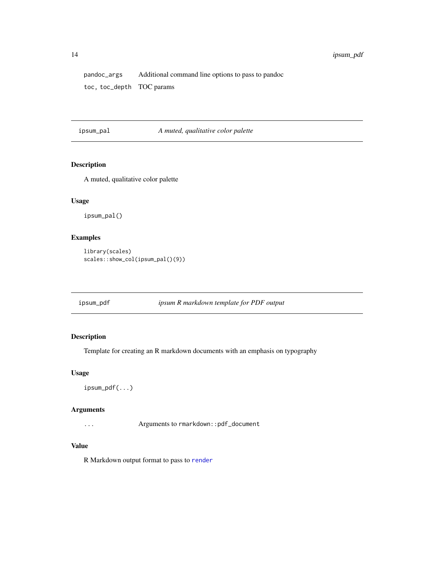<span id="page-13-0"></span>pandoc\_args Additional command line options to pass to pandoc toc, toc\_depth TOC params

<span id="page-13-1"></span>ipsum\_pal *A muted, qualitative color palette*

# Description

A muted, qualitative color palette

# Usage

ipsum\_pal()

# Examples

```
library(scales)
scales::show_col(ipsum_pal()(9))
```
ipsum\_pdf *ipsum R markdown template for PDF output*

# Description

Template for creating an R markdown documents with an emphasis on typography

### Usage

ipsum\_pdf(...)

# Arguments

... Arguments to rmarkdown::pdf\_document

# Value

R Markdown output format to pass to [render](#page-0-0)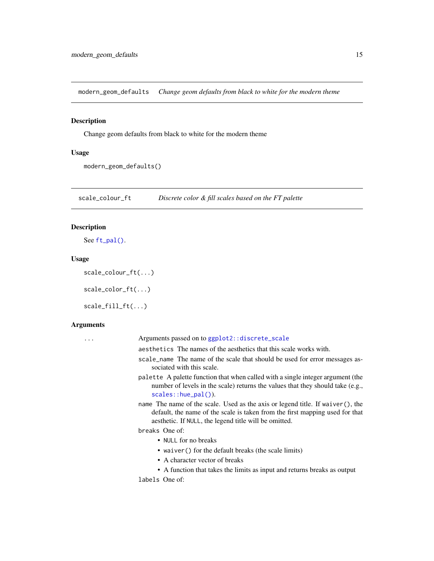<span id="page-14-0"></span>modern\_geom\_defaults *Change geom defaults from black to white for the modern theme*

# Description

Change geom defaults from black to white for the modern theme

# Usage

```
modern_geom_defaults()
```
scale\_colour\_ft *Discrete color & fill scales based on the FT palette*

# Description

```
See ft_pal().
```
# Usage

```
scale_colour_ft(...)
```

```
scale_color_ft(...)
```
scale\_fill\_ft(...)

### Arguments

| Arguments passed on to ggplot2::discrete_scale                                                                                                                                                                          |
|-------------------------------------------------------------------------------------------------------------------------------------------------------------------------------------------------------------------------|
| aesthetics. The names of the aesthetics that this scale works with.                                                                                                                                                     |
| scale_name The name of the scale that should be used for error messages as-<br>sociated with this scale.                                                                                                                |
| palette A palette function that when called with a single integer argument (the<br>number of levels in the scale) returns the values that they should take (e.g.,<br>$scales::hue\_pal()$ ).                            |
| name The name of the scale. Used as the axis or legend title. If waiver(), the<br>default, the name of the scale is taken from the first mapping used for that<br>aesthetic. If NULL, the legend title will be omitted. |
| breaks One of:                                                                                                                                                                                                          |
| • NULL for no breaks                                                                                                                                                                                                    |
| • waiver () for the default breaks (the scale limits)                                                                                                                                                                   |
| • A character vector of breaks                                                                                                                                                                                          |
| • A function that takes the limits as input and returns breaks as output                                                                                                                                                |
| labels One of:                                                                                                                                                                                                          |
|                                                                                                                                                                                                                         |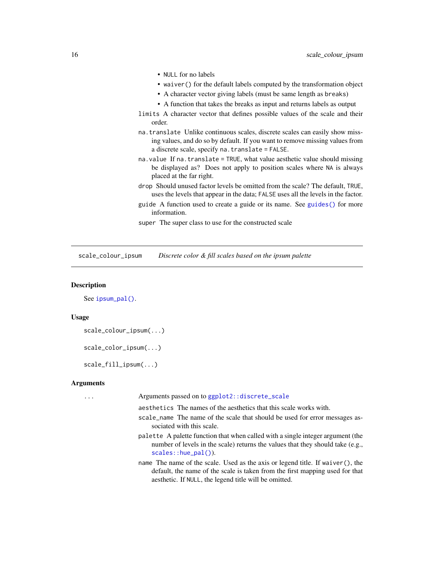- <span id="page-15-0"></span>• NULL for no labels
- waiver() for the default labels computed by the transformation object
- A character vector giving labels (must be same length as breaks)
- A function that takes the breaks as input and returns labels as output
- limits A character vector that defines possible values of the scale and their order.
- na.translate Unlike continuous scales, discrete scales can easily show missing values, and do so by default. If you want to remove missing values from a discrete scale, specify na.translate = FALSE.
- na.value If na.translate = TRUE, what value aesthetic value should missing be displayed as? Does not apply to position scales where NA is always placed at the far right.
- drop Should unused factor levels be omitted from the scale? The default, TRUE, uses the levels that appear in the data; FALSE uses all the levels in the factor.
- guide A function used to create a guide or its name. See [guides\(\)](#page-0-0) for more information.
- super The super class to use for the constructed scale

scale\_colour\_ipsum *Discrete color & fill scales based on the ipsum palette*

### Description

See [ipsum\\_pal\(\)](#page-13-1).

### Usage

```
scale_colour_ipsum(...)
```

```
scale_color_ipsum(...)
```
scale\_fill\_ipsum(...)

### Arguments

... Arguments passed on to [ggplot2::discrete\\_scale](#page-0-0)

aesthetics The names of the aesthetics that this scale works with.

- scale\_name The name of the scale that should be used for error messages associated with this scale.
- palette A palette function that when called with a single integer argument (the number of levels in the scale) returns the values that they should take (e.g., [scales::hue\\_pal\(\)](#page-0-0)).
- name The name of the scale. Used as the axis or legend title. If waiver(), the default, the name of the scale is taken from the first mapping used for that aesthetic. If NULL, the legend title will be omitted.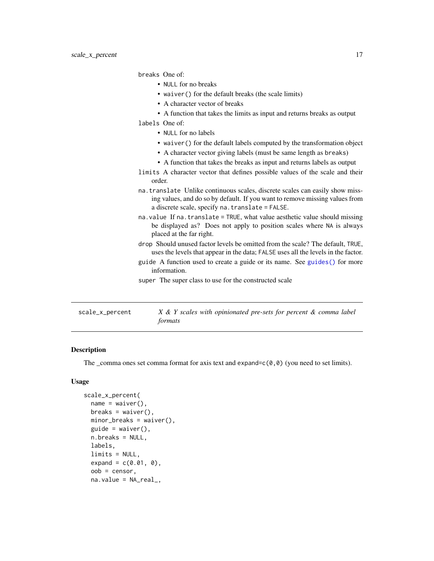breaks One of:<br>• NULL for

<span id="page-16-0"></span>

|                 | • NULL for no breaks                                                                                                                                                                                             |
|-----------------|------------------------------------------------------------------------------------------------------------------------------------------------------------------------------------------------------------------|
|                 | • waiver () for the default breaks (the scale limits)                                                                                                                                                            |
|                 | • A character vector of breaks                                                                                                                                                                                   |
|                 | • A function that takes the limits as input and returns breaks as output                                                                                                                                         |
|                 | labels One of:                                                                                                                                                                                                   |
|                 | • NULL for no labels                                                                                                                                                                                             |
|                 | • waiver () for the default labels computed by the transformation object                                                                                                                                         |
|                 | • A character vector giving labels (must be same length as breaks)                                                                                                                                               |
|                 | • A function that takes the breaks as input and returns labels as output                                                                                                                                         |
|                 | limits A character vector that defines possible values of the scale and their<br>order.                                                                                                                          |
|                 | na. translate Unlike continuous scales, discrete scales can easily show miss-<br>ing values, and do so by default. If you want to remove missing values from<br>a discrete scale, specify na. translate = FALSE. |
|                 | na. value If na. translate = TRUE, what value aesthetic value should missing<br>be displayed as? Does not apply to position scales where NA is always<br>placed at the far right.                                |
|                 | drop Should unused factor levels be omitted from the scale? The default, TRUE,<br>uses the levels that appear in the data; FALSE uses all the levels in the factor.                                              |
|                 | guide A function used to create a guide or its name. See guides () for more<br>information.                                                                                                                      |
|                 | super The super class to use for the constructed scale                                                                                                                                                           |
|                 |                                                                                                                                                                                                                  |
| scale_x_percent | X & Y scales with opinionated pre-sets for percent & comma label<br>formats                                                                                                                                      |

# Description

The \_comma ones set comma format for axis text and expand= $c(0,0)$  (you need to set limits).

```
scale_x_percent(
 name = waire(),breaks = waiver(),
 minor_breaks = waiver(),
 guide = waiver(),
 n.breaks = NULL,
 labels,
 limits = NULL,
  expand = c(0.01, 0),
 oob = censor,
 na.value = NA_real_,
```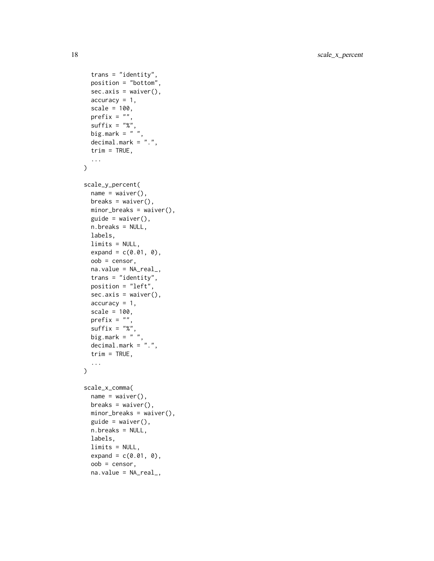18 scale\_x\_percent

```
trans = "identity",
  position = "bottom",
  sec. axis = waiver(),
  accuracy = 1,
  scale = 100,
  prefix = "",suffix = "%",big.mark = " "decimal.mark = ".",
  trim = TRUE,...
\mathcal{L}scale_y_percent(
  name = waire(),breaks = waiver(),
 minor_breaks = waiver(),
  guide = waire(),
 n.breaks = NULL,
  labels,
  limits = NULL,
  expand = c(0.01, 0),
  oob = censor,
  na.value = NA_real_,
  trans = "identity",
 position = "left",
  sec. axis = waiver(),accuracy = 1,
  scale = 100,
 prefix = ",
  suffix = "%",big.mark = " "decimal.mark = ".",
  trim = TRUE,...
\mathcal{L}scale_x_comma(
  name = waire(),breaks = waiver(),
 minor_breaks = waiver(),
  guide = waire(),
  n.breaks = NULL,
  labels,
  limits = NULL,
  expand = c(0.01, 0),
  oob = censor,
```

```
na.value = NA_real_,
```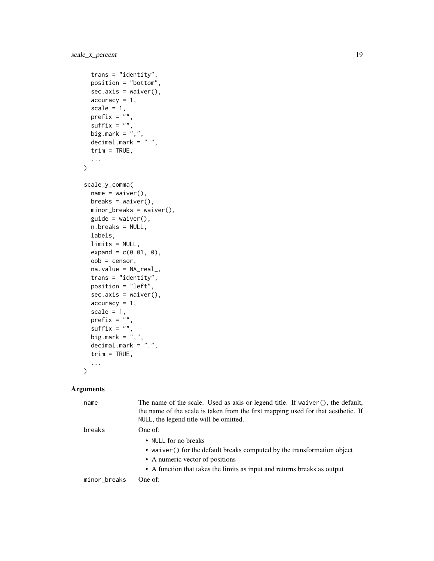```
trans = "identity",
 position = "bottom",
  sec. axis = waiver(),accuracy = 1,
  scale = 1,
 prefix = ",
  suffix = "",big.mark = \cdot,",
  decimal.mark = ".",
  trim = TRUE,...
\mathcal{L}scale_y_comma(
 name = waire(),breaks = waiver(),minor_breaks = waiver(),
  guide = waire(),
 n.breaks = NULL,
  labels,
  limits = NULL,
  expand = c(0.01, 0),
 oob = censor,
 na.value = NA_real_,
  trans = "identity",
 position = "left",
  sec. axis = waiver(),accuracy = 1,
  scale = 1,prefix = \hat{r}",
  \text{suffix} = \text{""\,"}big.mark = ",",decimal.max = "."trim = TRUE,...
\mathcal{L}
```
# Arguments

| name         | The name of the scale. Used as axis or legend title. If waiver(), the default,<br>the name of the scale is taken from the first mapping used for that aesthetic. If<br>NULL, the legend title will be omitted. |
|--------------|----------------------------------------------------------------------------------------------------------------------------------------------------------------------------------------------------------------|
| breaks       | One of:<br>• NULL for no breaks<br>• waiver () for the default breaks computed by the transformation object                                                                                                    |
|              | • A numeric vector of positions<br>• A function that takes the limits as input and returns breaks as output                                                                                                    |
| minor_breaks | One of:                                                                                                                                                                                                        |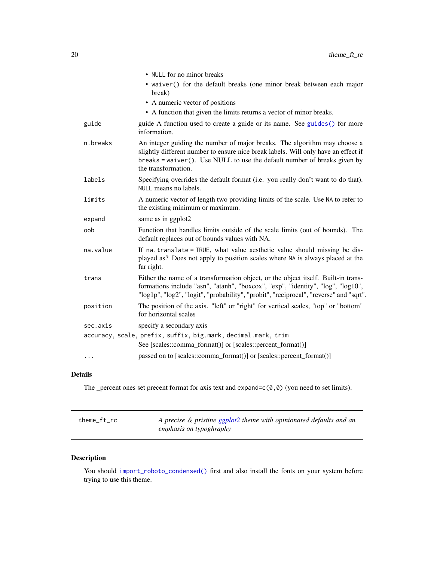<span id="page-19-0"></span>

|          | • NULL for no minor breaks                                                                                                                                                                                                                                         |
|----------|--------------------------------------------------------------------------------------------------------------------------------------------------------------------------------------------------------------------------------------------------------------------|
|          | • waiver() for the default breaks (one minor break between each major<br>break)                                                                                                                                                                                    |
|          | • A numeric vector of positions                                                                                                                                                                                                                                    |
|          | • A function that given the limits returns a vector of minor breaks.                                                                                                                                                                                               |
| guide    | guide A function used to create a guide or its name. See guides () for more<br>information.                                                                                                                                                                        |
| n.breaks | An integer guiding the number of major breaks. The algorithm may choose a<br>slightly different number to ensure nice break labels. Will only have an effect if<br>breaks = waiver(). Use NULL to use the default number of breaks given by<br>the transformation. |
| labels   | Specifying overrides the default format (i.e. you really don't want to do that).<br>NULL means no labels.                                                                                                                                                          |
| limits   | A numeric vector of length two providing limits of the scale. Use NA to refer to<br>the existing minimum or maximum.                                                                                                                                               |
| expand   | same as in ggplot2                                                                                                                                                                                                                                                 |
| oob      | Function that handles limits outside of the scale limits (out of bounds). The<br>default replaces out of bounds values with NA.                                                                                                                                    |
| na.value | If na. translate = TRUE, what value aesthetic value should missing be dis-<br>played as? Does not apply to position scales where NA is always placed at the<br>far right.                                                                                          |
| trans    | Either the name of a transformation object, or the object itself. Built-in trans-<br>formations include "asn", "atanh", "boxcox", "exp", "identity", "log", "log10",<br>"log1p", "log2", "logit", "probability", "probit", "reciprocal", "reverse" and "sqrt".     |
| position | The position of the axis. "left" or "right" for vertical scales, "top" or "bottom"<br>for horizontal scales                                                                                                                                                        |
| sec.axis | specify a secondary axis                                                                                                                                                                                                                                           |
|          | accuracy, scale, prefix, suffix, big.mark, decimal.mark, trim                                                                                                                                                                                                      |
|          | See [scales::comma_format()] or [scales::percent_format()]                                                                                                                                                                                                         |
| $\cdots$ | passed on to [scales::comma_format()] or [scales::percent_format()]                                                                                                                                                                                                |

# Details

The \_percent ones set precent format for axis text and expand= $c(0,0)$  (you need to set limits).

| theme_ft_rc | A precise & pristine ggplot2 theme with opinionated defaults and an |
|-------------|---------------------------------------------------------------------|
|             | emphasis on typoghraphy                                             |

# Description

You should [import\\_roboto\\_condensed\(\)](#page-10-1) first and also install the fonts on your system before trying to use this theme.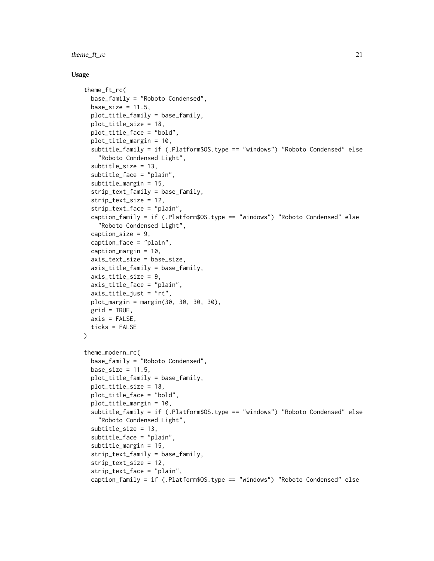theme\_ft\_rc 21

```
theme_ft_rc(
 base_family = "Roboto Condensed",
 base_size = 11.5,
 plot_title_family = base_family,
 plot_title_size = 18,
 plot_title_face = "bold",
 plot_title_margin = 10,
  subtitle_family = if (.Platform$OS.type == "windows") "Roboto Condensed" else
    "Roboto Condensed Light",
  subtitle_size = 13,
  subtitle_face = "plain",
  subtitle_margin = 15,
  strip_text_family = base_family,
  strip_text_size = 12,
  strip_text_face = "plain",
  caption_family = if (.Platform$OS.type == "windows") "Roboto Condensed" else
    "Roboto Condensed Light",
  caption_size = 9,caption_face = "plain",
  caption_margin = 10,
  axis_text_size = base_size,
  axis_title_family = base_family,
  axis_title_size = 9,
  axis_title_face = "plain",
  axis\_title\_just = "rt",plot_margin = margin(30, 30, 30, 30),
 grid = TRUE,axis = FALSE,ticks = FALSE
)
theme_modern_rc(
 base_family = "Roboto Condensed",
 base_size = 11.5,
 plot_title_family = base_family,
 plot_title_size = 18,
 plot_title_face = "bold",
  plot_title_margin = 10,
  subtitle_family = if (.Platform$OS.type == "windows") "Roboto Condensed" else
    "Roboto Condensed Light",
  subtitle_size = 13,
  subtitle_face = "plain",
  subtitle_margin = 15,
  strip_text_family = base_family,
  strip_text_size = 12,
  strip_text_face = "plain",
  caption_family = if (.Platform$OS.type == "windows") "Roboto Condensed" else
```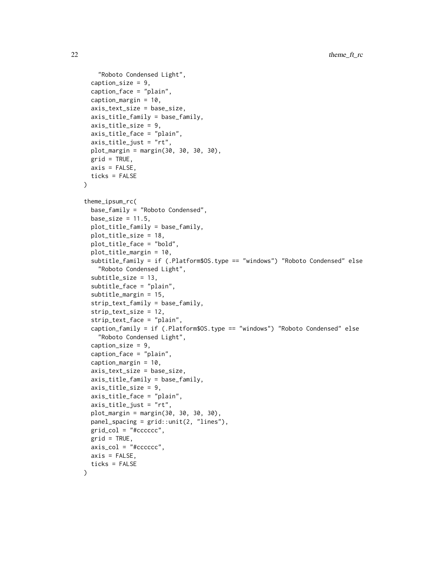```
"Roboto Condensed Light",
  caption_size = 9,
  caption_face = "plain",
  caption_margin = 10,
  axis_text_size = base_size,
  axis_title_family = base_family,
  axis_title_size = 9,
  axis_title_face = "plain",
  axis_title_just = "rt",
 plot_margin = margin(30, 30, 30, 30),
 grid = TRUE,axis = FALSE,ticks = FALSE
)
theme_ipsum_rc(
  base_family = "Roboto Condensed",
 base_size = 11.5,
 plot_title_family = base_family,
 plot_title_size = 18,
  plot_title_face = "bold",
  plot_title_margin = 10,
  subtitle_family = if (.Platform$OS.type == "windows") "Roboto Condensed" else
    "Roboto Condensed Light",
  subtitle_size = 13,
  subtitle_face = "plain",
  subtitle_margin = 15,
  strip_text_family = base_family,
  strip_text_size = 12,
  strip_text_face = "plain",
  caption_family = if (.Platform$OS.type == "windows") "Roboto Condensed" else
    "Roboto Condensed Light",
  caption_size = 9,caption_face = "plain",
  caption_margin = 10,
  axis_text_size = base_size,
  axis-title_family = base_family,
  axis_title_size = 9,
  axis_title_face = "plain",
  axis_title_just = "rt",
 plot_margin = margin(30, 30, 30, 30),
 panel_spacing = grid::unit(2, "lines"),
  grid\_col = "#ccccccc",grid = TRUE,axis_col = "#cccccc",
  axis = FALSE,ticks = FALSE
)
```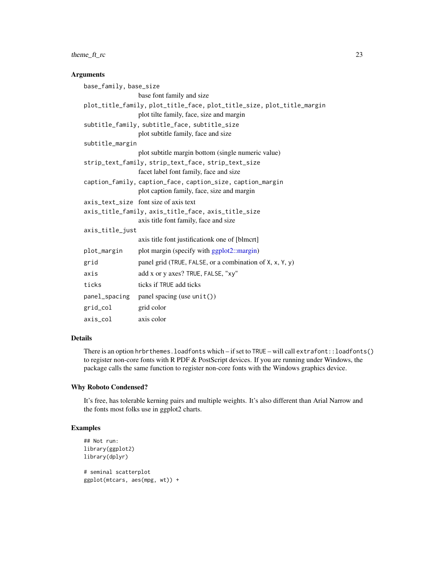# <span id="page-22-0"></span>theme\_ft\_rc 23

### Arguments

```
base_family, base_size
                base font family and size
plot_title_family, plot_title_face, plot_title_size, plot_title_margin
                plot tilte family, face, size and margin
subtitle_family, subtitle_face, subtitle_size
                plot subtitle family, face and size
subtitle_margin
                 plot subtitle margin bottom (single numeric value)
strip_text_family, strip_text_face, strip_text_size
                facet label font family, face and size
caption_family, caption_face, caption_size, caption_margin
                plot caption family, face, size and margin
axis_text_size font size of axis text
axis_title_family, axis_title_face, axis_title_size
                 axis title font family, face and size
axis_title_just
                axis title font justificationk one of [blmcrt]
plot_margin plot margin (specify with ggplot2::margin)
grid panel grid (TRUE, FALSE, or a combination of X, x, Y, y)
axis add x or y axes? TRUE, FALSE, "xy"
ticks ticks if TRUE add ticks
panel_spacing panel spacing (use unit())
grid_col grid color
axis_col axis color
```
### Details

There is an option hrbrthemes.loadfonts which – if set to TRUE – will call extrafont::loadfonts() to register non-core fonts with R PDF & PostScript devices. If you are running under Windows, the package calls the same function to register non-core fonts with the Windows graphics device.

### Why Roboto Condensed?

It's free, has tolerable kerning pairs and multiple weights. It's also different than Arial Narrow and the fonts most folks use in ggplot2 charts.

### Examples

```
## Not run:
library(ggplot2)
library(dplyr)
# seminal scatterplot
ggplot(mtcars, aes(mpg, wt)) +
```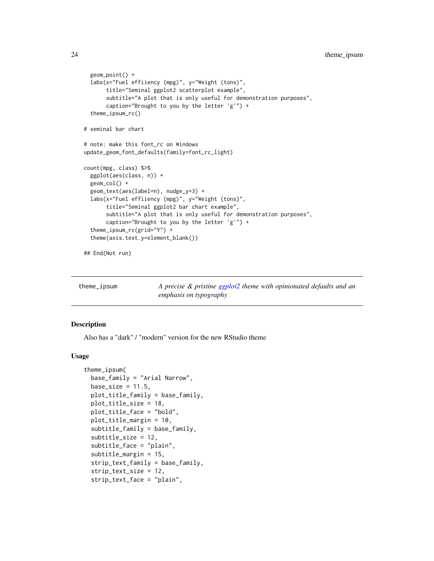```
geom_point() +
 labs(x="Fuel effiiency (mpg)", y="Weight (tons)",
      title="Seminal ggplot2 scatterplot example",
      subtitle="A plot that is only useful for demonstration purposes",
      caption="Brought to you by the letter 'g'") +
 theme_ipsum_rc()
# seminal bar chart
# note: make this font_rc on Windows
update_geom_font_defaults(family=font_rc_light)
count(mpg, class) %>%
 ggplot(aes(class, n)) +
 geom_col() +
 geom_text(aes(label=n), nudge_y=3) +
 labs(x="Fuel effiiency (mpg)", y="Weight (tons)",
      title="Seminal ggplot2 bar chart example",
      subtitle="A plot that is only useful for demonstration purposes",
      caption="Brought to you by the letter 'g'") +
 theme_ipsum_rc(grid="Y") +
 theme(axis.text.y=element_blank())
```
## End(Not run)

| theme_ipsum |                        |  | A precise & pristine ggplot2 theme with opinionated defaults and an |  |  |
|-------------|------------------------|--|---------------------------------------------------------------------|--|--|
|             | emphasis on typography |  |                                                                     |  |  |

### Description

Also has a "dark" / "modern" version for the new RStudio theme

```
theme_ipsum(
 base_family = "Arial Narrow",
 base_size = 11.5,
 plot_title_family = base_family,
 plot_title_size = 18,
 plot_title_face = "bold",
 plot_title_margin = 10,
  subtitle_family = base_family,
  subtitle_size = 12,
  subtitle_face = "plain",
  subtitle_margin = 15,
  strip_text_family = base_family,
  strip_text_size = 12,
  strip_text_face = "plain",
```
<span id="page-23-0"></span>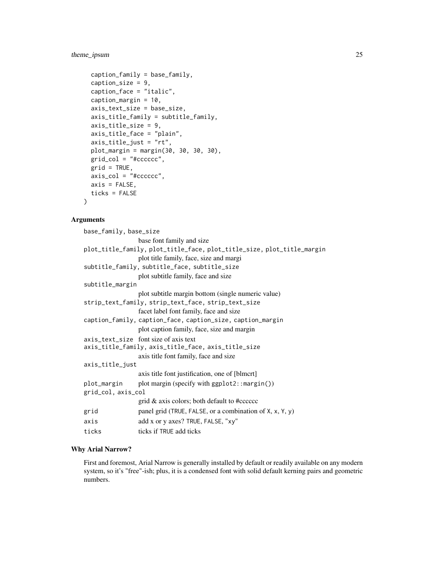# theme\_ipsum 25

```
caption_family = base_family,
caption_size = 9,caption_face = "italic",
caption_margin = 10,
axis_text_size = base_size,
axis_title_family = subtitle_family,
axis_title_size = 9,
axis_title_face = "plain",
axis_title_just = "rt",
plot_margin = margin(30, 30, 30, 30),
grid\_col = "#ccccccc",grid = TRUE,axis_col = "#cccccc",
axis = FALSE,ticks = FALSE
```
### Arguments

)

| base_family, base_size |                                                                        |
|------------------------|------------------------------------------------------------------------|
|                        | base font family and size                                              |
|                        | plot_title_family, plot_title_face, plot_title_size, plot_title_margin |
|                        | plot title family, face, size and margi                                |
|                        | subtitle_family, subtitle_face, subtitle_size                          |
|                        | plot subtitle family, face and size                                    |
| subtitle_margin        |                                                                        |
|                        | plot subtitle margin bottom (single numeric value)                     |
|                        | strip_text_family, strip_text_face, strip_text_size                    |
|                        | facet label font family, face and size                                 |
|                        | caption_family, caption_face, caption_size, caption_margin             |
|                        | plot caption family, face, size and margin                             |
|                        | axis_text_size font size of axis text                                  |
|                        | axis_title_family, axis_title_face, axis_title_size                    |
|                        | axis title font family, face and size                                  |
| axis_title_just        |                                                                        |
|                        | axis title font justification, one of [blmcrt]                         |
| plot_margin            | plot margin (specify with ggplot2::margin())                           |
| grid_col, axis_col     |                                                                        |
|                        | grid & axis colors; both default to #cccccc                            |
| grid                   | panel grid (TRUE, FALSE, or a combination of X, x, Y, y)               |
| axis                   | add x or y axes? TRUE, FALSE, "xy"                                     |
| ticks                  | ticks if TRUE add ticks                                                |
|                        |                                                                        |

# Why Arial Narrow?

First and foremost, Arial Narrow is generally installed by default or readily available on any modern system, so it's "free"-ish; plus, it is a condensed font with solid default kerning pairs and geometric numbers.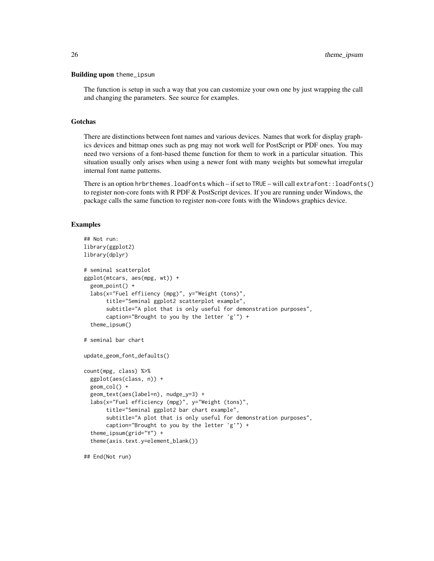### Building upon theme\_ipsum

The function is setup in such a way that you can customize your own one by just wrapping the call and changing the parameters. See source for examples.

# Gotchas

There are distinctions between font names and various devices. Names that work for display graphics devices and bitmap ones such as png may not work well for PostScript or PDF ones. You may need two versions of a font-based theme function for them to work in a particular situation. This situation usually only arises when using a newer font with many weights but somewhat irregular internal font name patterns.

There is an option hrbrthemes.loadfonts which – if set to TRUE – will call extrafont::loadfonts() to register non-core fonts with R PDF  $&$  PostScript devices. If you are running under Windows, the package calls the same function to register non-core fonts with the Windows graphics device.

### Examples

```
## Not run:
library(ggplot2)
library(dplyr)
# seminal scatterplot
ggplot(mtcars, aes(mpg, wt)) +
  geom_point() +
  labs(x="Fuel effiiency (mpg)", y="Weight (tons)",
       title="Seminal ggplot2 scatterplot example",
       subtitle="A plot that is only useful for demonstration purposes",
       caption="Brought to you by the letter 'g'") +
  theme_ipsum()
# seminal bar chart
update_geom_font_defaults()
count(mpg, class) %>%
  ggplot(aes(class, n)) +
  geom_col() +
  geom_text(aes(label=n), nudge_y=3) +
  labs(x="Fuel efficiency (mpg)", y="Weight (tons)",
       title="Seminal ggplot2 bar chart example",
       subtitle="A plot that is only useful for demonstration purposes",
       caption="Brought to you by the letter 'g'") +
  theme_ipsum(grid="Y") +
  theme(axis.text.y=element_blank())
```
## End(Not run)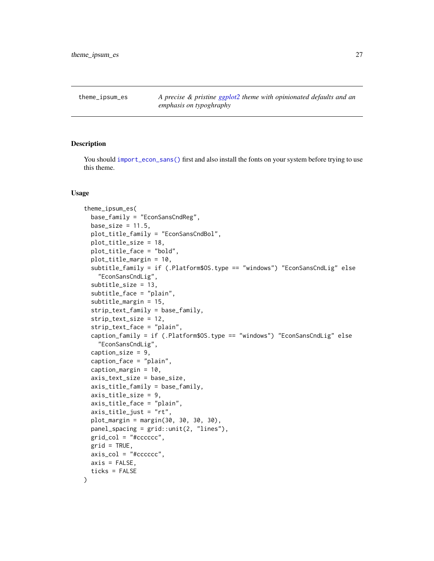<span id="page-26-0"></span>

### Description

You should [import\\_econ\\_sans\(\)](#page-8-1) first and also install the fonts on your system before trying to use this theme.

```
theme_ipsum_es(
  base_family = "EconSansCndReg",
 base_size = 11.5,
 plot_title_family = "EconSansCndBol",
 plot_title_size = 18,
 plot_title_face = "bold",
 plot_title_margin = 10,
  subtitle_family = if (.Platform$OS.type == "windows") "EconSansCndLig" else
    "EconSansCndLig",
  subtitle_size = 13,
  subtitle_face = "plain",
  subtitle_margin = 15,
  strip_text_family = base_family,
  strip_text_size = 12,
  strip_text_face = "plain",
  caption_family = if (.Platform$OS.type == "windows") "EconSansCndLig" else
    "EconSansCndLig",
  caption_size = 9,caption_face = "plain",
  caption_margin = 10,
  axis_text_size = base_size,
  axis_title_family = base_family,
  axis_title_size = 9,
  axis_title_face = "plain",
  axis_title_just = "rt",
  plot_margin = margin(30, 30, 30, 30),
 panel_spacing = grid::unit(2, "lines"),
  grid\_col = "#ccccccc",grid = TRUE,axis_{col} = "tcccccc".
 axis = FALSE,ticks = FALSE
)
```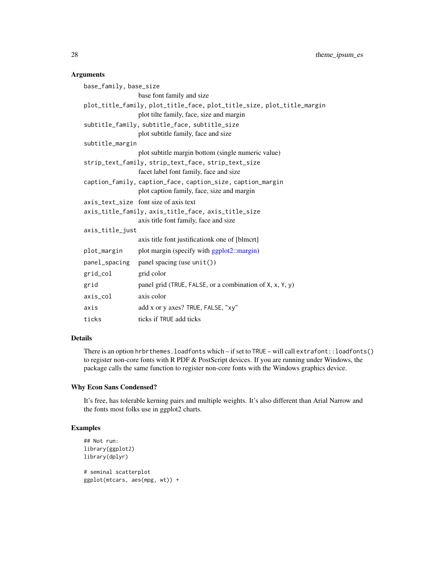# <span id="page-27-0"></span>Arguments

| base_family, base_size                                                 |                                                            |  |  |  |
|------------------------------------------------------------------------|------------------------------------------------------------|--|--|--|
|                                                                        | base font family and size                                  |  |  |  |
| plot_title_family, plot_title_face, plot_title_size, plot_title_margin |                                                            |  |  |  |
|                                                                        | plot tilte family, face, size and margin                   |  |  |  |
|                                                                        | subtitle_family, subtitle_face, subtitle_size              |  |  |  |
|                                                                        | plot subtitle family, face and size                        |  |  |  |
| subtitle_margin                                                        |                                                            |  |  |  |
|                                                                        | plot subtitle margin bottom (single numeric value)         |  |  |  |
|                                                                        | strip_text_family, strip_text_face, strip_text_size        |  |  |  |
|                                                                        | facet label font family, face and size                     |  |  |  |
|                                                                        | caption_family, caption_face, caption_size, caption_margin |  |  |  |
|                                                                        | plot caption family, face, size and margin                 |  |  |  |
|                                                                        | axis_text_size font size of axis text                      |  |  |  |
| axis_title_family, axis_title_face, axis_title_size                    |                                                            |  |  |  |
|                                                                        | axis title font family, face and size                      |  |  |  |
| axis_title_just                                                        |                                                            |  |  |  |
|                                                                        | axis title font justificationk one of [blmcrt]             |  |  |  |
| plot_margin                                                            | plot margin (specify with ggplot2::margin)                 |  |  |  |
|                                                                        | panel_spacing panel spacing (use unit())                   |  |  |  |
| grid_col                                                               | grid color                                                 |  |  |  |
| grid                                                                   | panel grid (TRUE, FALSE, or a combination of X, x, Y, y)   |  |  |  |
| axis_col                                                               | axis color                                                 |  |  |  |
| axis                                                                   | add x or y axes? TRUE, FALSE, "xy"                         |  |  |  |
| ticks                                                                  | ticks if TRUE add ticks                                    |  |  |  |

# Details

There is an option hrbrthemes.loadfonts which – if set to TRUE – will call extrafont::loadfonts() to register non-core fonts with R PDF & PostScript devices. If you are running under Windows, the package calls the same function to register non-core fonts with the Windows graphics device.

# Why Econ Sans Condensed?

It's free, has tolerable kerning pairs and multiple weights. It's also different than Arial Narrow and the fonts most folks use in ggplot2 charts.

### Examples

```
## Not run:
library(ggplot2)
library(dplyr)
# seminal scatterplot
ggplot(mtcars, aes(mpg, wt)) +
```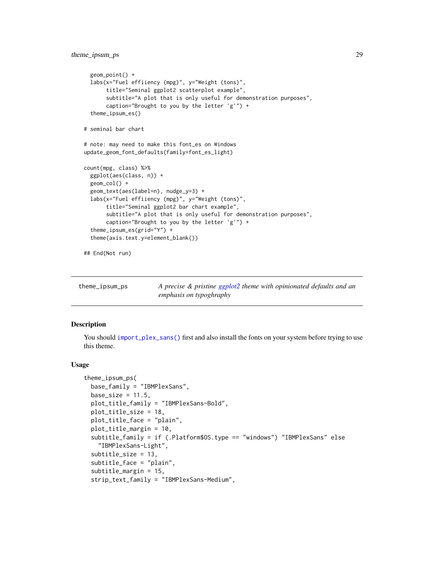```
geom_point() +
 labs(x="Fuel effiiency (mpg)", y="Weight (tons)",
      title="Seminal ggplot2 scatterplot example",
      subtitle="A plot that is only useful for demonstration purposes",
      caption="Brought to you by the letter 'g'") +
 theme_ipsum_es()
# seminal bar chart
# note: may need to make this font_es on Windows
update_geom_font_defaults(family=font_es_light)
count(mpg, class) %>%
 ggplot(aes(class, n)) +
 geom_col() +
 geom_text(aes(label=n), nudge_y=3) +
 labs(x="Fuel effiiency (mpg)", y="Weight (tons)",
      title="Seminal ggplot2 bar chart example",
      subtitle="A plot that is only useful for demonstration purposes",
      caption="Brought to you by the letter 'g'") +
 theme_ipsum_es(grid="Y") +
 theme(axis.text.y=element_blank())
```
## End(Not run)

| theme_ipsum_ps | A precise & pristine ggplot2 theme with opinionated defaults and an |
|----------------|---------------------------------------------------------------------|
|                | <i>emphasis on typoghraphy</i>                                      |

### Description

You should [import\\_plex\\_sans\(\)](#page-9-1) first and also install the fonts on your system before trying to use this theme.

```
theme_ipsum_ps(
 base_family = "IBMPlexSans",
 base_size = 11.5,
  plot_title_family = "IBMPlexSans-Bold",
  plot_title_size = 18,
  plot_title_face = "plain",
 plot_title_margin = 10,
  subtitle_family = if (.Platform$OS.type == "windows") "IBMPlexSans" else
    "IBMPlexSans-Light",
  subtitle_size = 13,
  subtitle_face = "plain",
  subtitle_margin = 15,
  strip_text_family = "IBMPlexSans-Medium",
```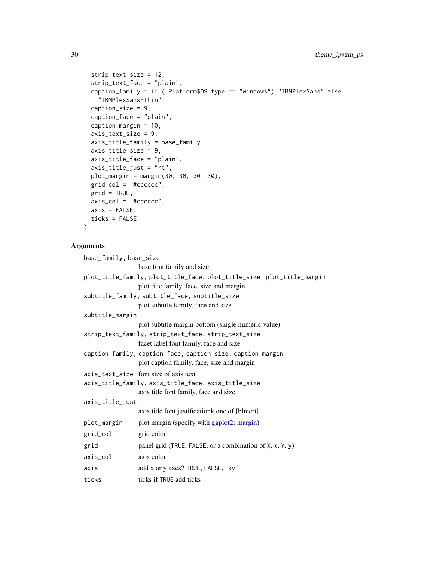```
strip_text_size = 12,
  strip_text_face = "plain",
  caption_family = if (.Platform$OS.type == "windows") "IBMPlexSans" else
    "IBMPlexSans-Thin",
  caption_size = 9,
  caption_face = "plain",
  caption_margin = 10,
  axis_text_size = 9,
  axis_title_family = base_family,
  axis_title_size = 9,
  axis_title_face = "plain",
  axis_title_just = "rt",
 plot_margin = margin(30, 30, 30, 30),
  grid_col = "#cccccc",
 grid = TRUE,axis\_col = "tcccccc",axis = FALSE,ticks = FALSE
\lambda
```
# Arguments

```
base_family, base_size
                base font family and size
plot_title_family, plot_title_face, plot_title_size, plot_title_margin
                plot tilte family, face, size and margin
subtitle_family, subtitle_face, subtitle_size
                plot subtitle family, face and size
subtitle_margin
                 plot subtitle margin bottom (single numeric value)
strip_text_family, strip_text_face, strip_text_size
                facet label font family, face and size
caption_family, caption_face, caption_size, caption_margin
                plot caption family, face, size and margin
axis_text_size font size of axis text
axis_title_family, axis_title_face, axis_title_size
                 axis title font family, face and size
axis_title_just
                 axis title font justificationk one of [blmcrt]
plot_margin plot margin (specify with ggplot2::margin)
grid_col grid color
grid panel grid (TRUE, FALSE, or a combination of X, x, Y, y)
axis_col axis color
axis add x or y axes? TRUE, FALSE, "xy"
ticks ticks if TRUE add ticks
```
<span id="page-29-0"></span>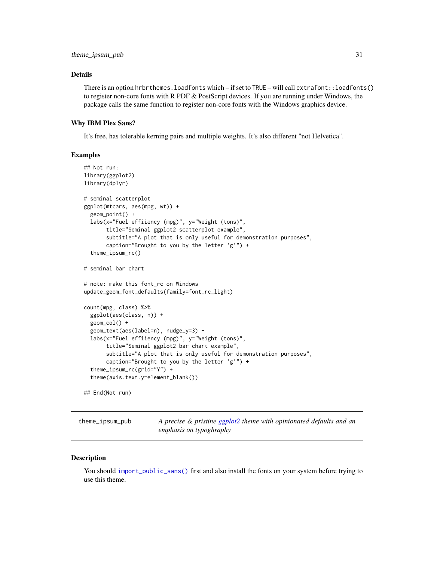### <span id="page-30-0"></span>Details

There is an option hrbrthemes.loadfonts which – if set to TRUE – will call extrafont::loadfonts() to register non-core fonts with R PDF  $&$  PostScript devices. If you are running under Windows, the package calls the same function to register non-core fonts with the Windows graphics device.

### Why IBM Plex Sans?

It's free, has tolerable kerning pairs and multiple weights. It's also different "not Helvetica".

### Examples

```
## Not run:
library(ggplot2)
library(dplyr)
# seminal scatterplot
ggplot(mtcars, aes(mpg, wt)) +
 geom_point() +
 labs(x="Fuel effiiency (mpg)", y="Weight (tons)",
      title="Seminal ggplot2 scatterplot example",
      subtitle="A plot that is only useful for demonstration purposes",
      caption="Brought to you by the letter 'g'") +
  theme_ipsum_rc()
# seminal bar chart
# note: make this font_rc on Windows
update_geom_font_defaults(family=font_rc_light)
count(mpg, class) %>%
 ggplot(aes(class, n)) +
 geom_col() +
 geom_text(aes(label=n), nudge_y=3) +
 labs(x="Fuel effiiency (mpg)", y="Weight (tons)",
      title="Seminal ggplot2 bar chart example",
      subtitle="A plot that is only useful for demonstration purposes",
      caption="Brought to you by the letter 'g'") +
  theme_ipsum_rc(grid="Y") +
  theme(axis.text.y=element_blank())
## End(Not run)
```
theme\_ipsum\_pub *A precise & pristine [ggplot2](#page-0-0) theme with opinionated defaults and an emphasis on typoghraphy*

### **Description**

You should [import\\_public\\_sans\(\)](#page-9-2) first and also install the fonts on your system before trying to use this theme.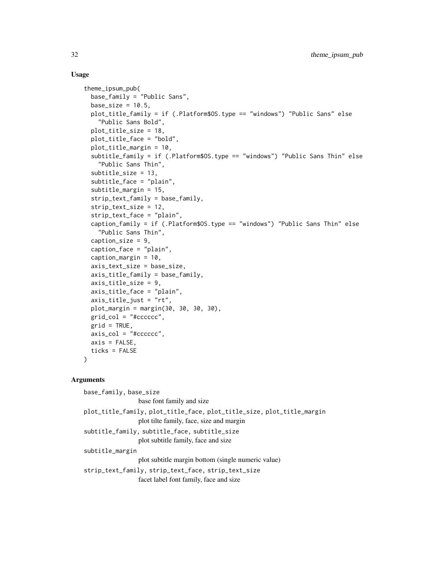### Usage

```
theme_ipsum_pub(
  base_family = "Public Sans",
  base_size = 10.5,
 plot_title_family = if (.Platform$OS.type == "windows") "Public Sans" else
    "Public Sans Bold",
  plot_title_size = 18,
  plot_title_face = "bold",
  plot_title_margin = 10,
  subtitle_family = if (.Platform$OS.type == "windows") "Public Sans Thin" else
    "Public Sans Thin",
  subtitle_size = 13,
  subtitle_face = "plain",
  subtitle_margin = 15,
  strip_text_family = base_family,
  strip_text_size = 12,
  strip_text_face = "plain",
  caption_family = if (.Platform$OS.type == "windows") "Public Sans Thin" else
    "Public Sans Thin",
  caption_size = 9,
  caption_face = "plain",
  caption_margin = 10,
  axis_text_size = base_size,
  axis_title_family = base_family,
  axis_title_size = 9,
  axis_title_face = "plain",
  axis_title_just = "rt",
 plot_margin = margin(30, 30, 30, 30),
 grid\_col = "#ccccccc",grid = TRUE,axis\_col = "#ccccccaxis = FALSE,ticks = FALSE
)
```
### Arguments

base\_family, base\_size base font family and size plot\_title\_family, plot\_title\_face, plot\_title\_size, plot\_title\_margin plot tilte family, face, size and margin subtitle\_family, subtitle\_face, subtitle\_size plot subtitle family, face and size subtitle\_margin plot subtitle margin bottom (single numeric value) strip\_text\_family, strip\_text\_face, strip\_text\_size facet label font family, face and size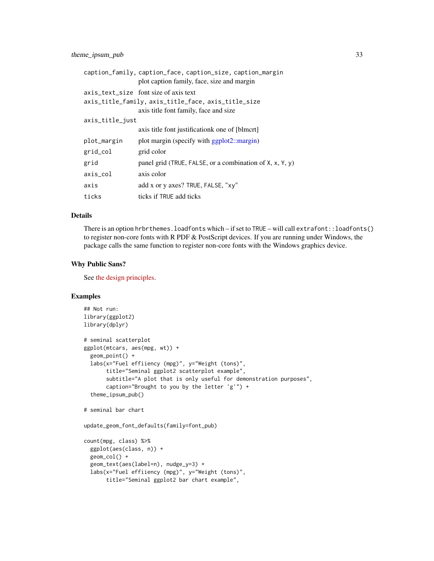<span id="page-32-0"></span>

|                 | caption_family, caption_face, caption_size, caption_margin<br>plot caption family, face, size and margin                              |
|-----------------|---------------------------------------------------------------------------------------------------------------------------------------|
|                 | axis_text_size font size of axis text<br>axis_title_family, axis_title_face, axis_title_size<br>axis title font family, face and size |
| axis_title_just |                                                                                                                                       |
|                 | axis title font justificationk one of [blmcrt]                                                                                        |
| plot_margin     | plot margin (specify with ggplot2::margin)                                                                                            |
| grid_col        | grid color                                                                                                                            |
| grid            | panel grid (TRUE, FALSE, or a combination of $X$ , $x$ , $Y$ , $y$ )                                                                  |
| axis_col        | axis color                                                                                                                            |
| axis            | add x or y axes? TRUE, FALSE, "xy"                                                                                                    |
| ticks           | ticks if TRUE add ticks                                                                                                               |

### Details

There is an option hrbrthemes.loadfonts which – if set to TRUE – will call extrafont::loadfonts() to register non-core fonts with R PDF & PostScript devices. If you are running under Windows, the package calls the same function to register non-core fonts with the Windows graphics device.

### Why Public Sans?

See [the design principles.](https://github.com/uswds/public-sans#design-principles)

# Examples

```
## Not run:
library(ggplot2)
library(dplyr)
# seminal scatterplot
ggplot(mtcars, aes(mpg, wt)) +
  geom_point() +
  labs(x="Fuel effiiency (mpg)", y="Weight (tons)",
       title="Seminal ggplot2 scatterplot example",
       subtitle="A plot that is only useful for demonstration purposes",
       caption="Brought to you by the letter 'g'") +
  theme_ipsum_pub()
# seminal bar chart
update_geom_font_defaults(family=font_pub)
count(mpg, class) %>%
  ggplot(aes(class, n)) +
  geom_col() +
  geom_text(aes(label=n), nudge_y=3) +
  labs(x="Fuel effiiency (mpg)", y="Weight (tons)",
       title="Seminal ggplot2 bar chart example",
```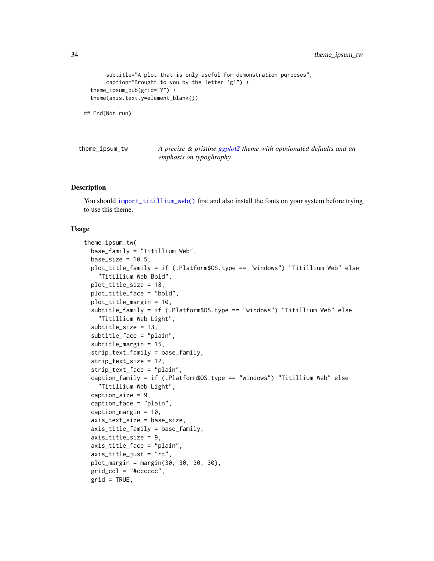```
subtitle="A plot that is only useful for demonstration purposes",
     caption="Brought to you by the letter 'g'") +
theme_ipsum_pub(grid="Y") +
theme(axis.text.y=element_blank())
```

```
## End(Not run)
```
theme\_ipsum\_tw *A precise & pristine [ggplot2](#page-0-0) theme with opinionated defaults and an emphasis on typoghraphy*

### Description

You should [import\\_titillium\\_web\(\)](#page-11-1) first and also install the fonts on your system before trying to use this theme.

```
theme_ipsum_tw(
 base_family = "Titillium Web",
 base_size = 10.5,
 plot_title_family = if (.Platform$OS.type == "windows") "Titillium Web" else
    "Titillium Web Bold",
 plot_title_size = 18,
 plot_title_face = "bold",
 plot_title_margin = 10,
 subtitle_family = if (.Platform$OS.type == "windows") "Titillium Web" else
    "Titillium Web Light",
  subtitle_size = 13,
  subtitle_face = "plain",
  subtitle_margin = 15,
  strip_text_family = base_family,
  strip_text_size = 12,
  strip_text_face = "plain",
  caption_family = if (.Platform$OS.type == "windows") "Titillium Web" else
    "Titillium Web Light",
 caption_size = 9,
  caption_face = "plain",
  caption_margin = 10,
  axis_text_size = base_size,
  axis_title_family = base_family,
  axis_title_size = 9,
  axis_title_face = "plain",
  axis\_title\_just = "rt",plot_margin = margin(30, 30, 30, 30),
  grid\_col = "#ccccccc",grid = TRUE,
```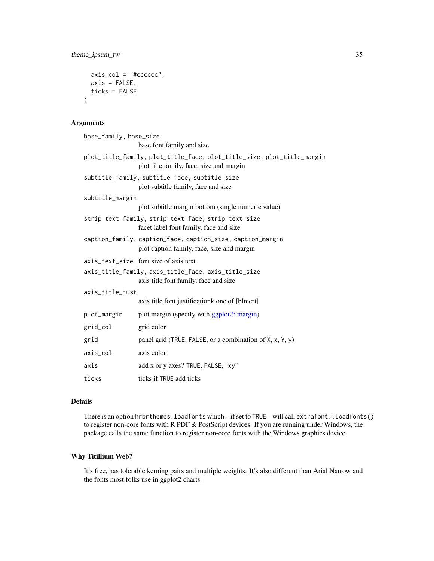```
axis\_col = "tcccccc",axis = FALSE,ticks = FALSE
\mathcal{L}
```
# Arguments

| base_family, base_size |                                                                                                                    |
|------------------------|--------------------------------------------------------------------------------------------------------------------|
|                        | base font family and size                                                                                          |
|                        | plot_title_family, plot_title_face, plot_title_size, plot_title_margin<br>plot tilte family, face, size and margin |
|                        | subtitle_family, subtitle_face, subtitle_size<br>plot subtitle family, face and size                               |
| subtitle_margin        |                                                                                                                    |
|                        | plot subtitle margin bottom (single numeric value)                                                                 |
|                        | strip_text_family, strip_text_face, strip_text_size<br>facet label font family, face and size                      |
|                        | caption_family, caption_face, caption_size, caption_margin<br>plot caption family, face, size and margin           |
|                        | axis_text_size font size of axis text                                                                              |
|                        | axis_title_family, axis_title_face, axis_title_size<br>axis title font family, face and size                       |
| axis_title_just        |                                                                                                                    |
|                        | axis title font justificationk one of [blmcrt]                                                                     |
| plot_margin            | plot margin (specify with ggplot2::margin)                                                                         |
| grid_col               | grid color                                                                                                         |
| grid                   | panel grid (TRUE, FALSE, or a combination of X, x, Y, y)                                                           |
| axis_col               | axis color                                                                                                         |
| axis                   | add x or y axes? TRUE, FALSE, "xy"                                                                                 |
| ticks                  | ticks if TRUE add ticks                                                                                            |

# Details

There is an option hrbrthemes.loadfonts which – if set to TRUE – will call extrafont::loadfonts() to register non-core fonts with R PDF & PostScript devices. If you are running under Windows, the package calls the same function to register non-core fonts with the Windows graphics device.

# Why Titillium Web?

It's free, has tolerable kerning pairs and multiple weights. It's also different than Arial Narrow and the fonts most folks use in ggplot2 charts.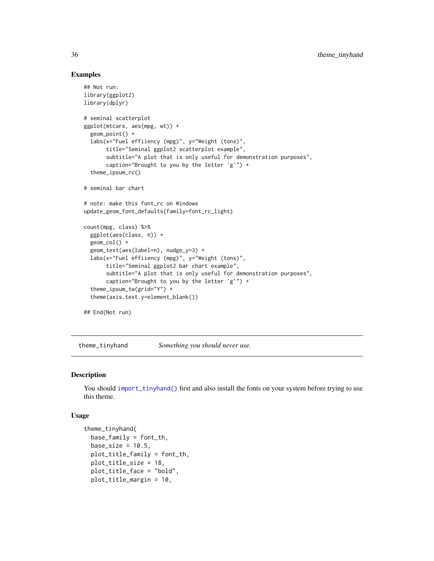### Examples

```
## Not run:
library(ggplot2)
library(dplyr)
# seminal scatterplot
ggplot(mtcars, aes(mpg, wt)) +
 geom_point() +
 labs(x="Fuel effiiency (mpg)", y="Weight (tons)",
      title="Seminal ggplot2 scatterplot example",
      subtitle="A plot that is only useful for demonstration purposes",
      caption="Brought to you by the letter 'g'") +
 theme_ipsum_rc()
# seminal bar chart
# note: make this font_rc on Windows
update_geom_font_defaults(family=font_rc_light)
count(mpg, class) %>%
 ggplot(aes(class, n)) +
 geom_col() +
 geom_text(aes(label=n), nudge_y=3) +
 labs(x="Fuel effiiency (mpg)", y="Weight (tons)",
      title="Seminal ggplot2 bar chart example",
      subtitle="A plot that is only useful for demonstration purposes",
      caption="Brought to you by the letter 'g'") +
 theme_ipsum_tw(grid="Y") +
 theme(axis.text.y=element_blank())
```
## End(Not run)

theme\_tinyhand *Something you should never use.*

### Description

You should [import\\_tinyhand\(\)](#page-10-2) first and also install the fonts on your system before trying to use this theme.

```
theme_tinyhand(
 base_family = font_th,
 base_size = 10.5,
 plot\_title\_family = font\_th,
 plot_title_size = 18,
  plot_title_face = "bold",
  plot_title_margin = 10,
```
<span id="page-35-0"></span>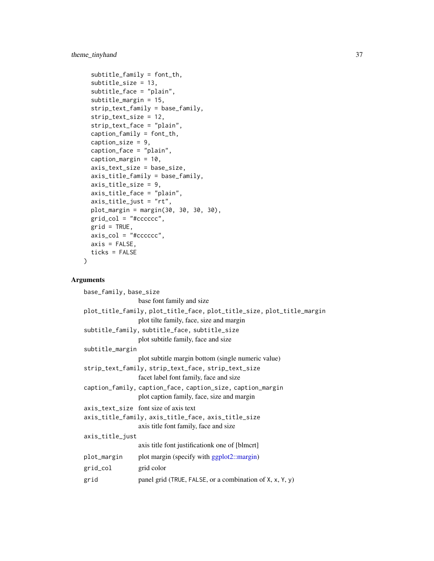# <span id="page-36-0"></span>theme\_tinyhand 37

```
subtitle_family = font_th,
subtitle_size = 13,
subtitle_face = "plain",
subtitle_margin = 15,
strip_text_family = base_family,
strip_text_size = 12,
strip_text_face = "plain",
caption_family = font_th,
caption_size = 9,caption_face = "plain",
caption_margin = 10,
axis_text_size = base_size,
axis_title_family = base_family,
axis_title_size = 9,
axis_title_face = "plain",
axis_title_just = "rt",
plot_margin = margin(30, 30, 30, 30),
grid\_col = "#ccccccc",grid = TRUE,axis\_col = "tcccccc",axis = FALSE,ticks = FALSE
```
# Arguments

 $\mathcal{L}$ 

| base_family, base_size                                                 |                                                          |  |
|------------------------------------------------------------------------|----------------------------------------------------------|--|
|                                                                        | base font family and size                                |  |
| plot_title_family, plot_title_face, plot_title_size, plot_title_margin |                                                          |  |
|                                                                        | plot tilte family, face, size and margin                 |  |
| subtitle_family, subtitle_face, subtitle_size                          |                                                          |  |
|                                                                        | plot subtitle family, face and size                      |  |
| subtitle_margin                                                        |                                                          |  |
|                                                                        | plot subtitle margin bottom (single numeric value)       |  |
|                                                                        | strip_text_family, strip_text_face, strip_text_size      |  |
|                                                                        | facet label font family, face and size                   |  |
| caption_family, caption_face, caption_size, caption_margin             |                                                          |  |
|                                                                        | plot caption family, face, size and margin               |  |
|                                                                        | axis_text_size font size of axis text                    |  |
| axis_title_family, axis_title_face, axis_title_size                    |                                                          |  |
|                                                                        | axis title font family, face and size                    |  |
| axis_title_just                                                        |                                                          |  |
|                                                                        | axis title font justification kone of [blmcrt]           |  |
| plot_margin                                                            | plot margin (specify with ggplot2::margin)               |  |
| grid_col                                                               | grid color                                               |  |
| grid                                                                   | panel grid (TRUE, FALSE, or a combination of X, x, Y, y) |  |
|                                                                        |                                                          |  |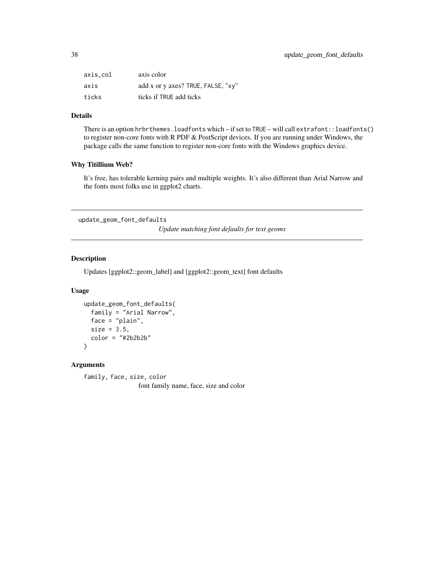<span id="page-37-0"></span>

| axis col | axis color                         |
|----------|------------------------------------|
| axis     | add x or y axes? TRUE, FALSE, "xy" |
| ticks    | ticks if TRUE add ticks            |

### Details

There is an option hrbrthemes.loadfonts which – if set to TRUE – will call extrafont::loadfonts() to register non-core fonts with R PDF & PostScript devices. If you are running under Windows, the package calls the same function to register non-core fonts with the Windows graphics device.

### Why Titillium Web?

It's free, has tolerable kerning pairs and multiple weights. It's also different than Arial Narrow and the fonts most folks use in ggplot2 charts.

```
update_geom_font_defaults
```
*Update matching font defaults for text geoms*

# Description

Updates [ggplot2::geom\_label] and [ggplot2::geom\_text] font defaults

# Usage

```
update_geom_font_defaults(
  family = "Arial Narrow",
  face = "plain",
  size = 3.5,
  color = "#2b2b2b"
\mathcal{L}
```
### Arguments

family, face, size, color font family name, face, size and color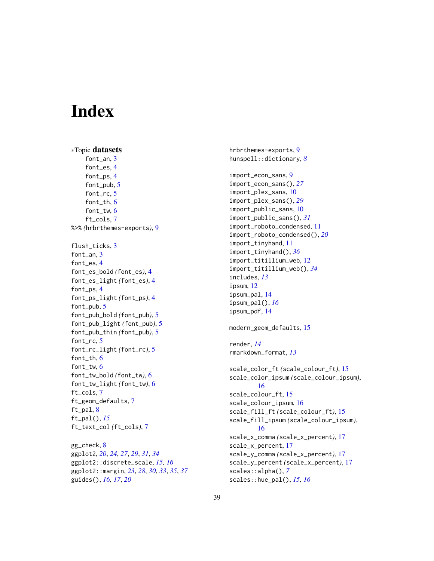# <span id="page-38-0"></span>**Index**

∗Topic datasets font\_an, [3](#page-2-0) font\_es, [4](#page-3-0) font\_ps, [4](#page-3-0) font\_pub, [5](#page-4-0) font\_rc, [5](#page-4-0) font\_th, [6](#page-5-0) font\_tw,  $6$ ft\_cols, [7](#page-6-0) %>% *(*hrbrthemes-exports*)*, [9](#page-8-0) flush\_ticks, [3](#page-2-0) font\_an, [3](#page-2-0) font\_es, [4](#page-3-0) font\_es\_bold *(*font\_es*)*, [4](#page-3-0) font\_es\_light *(*font\_es*)*, [4](#page-3-0) font\_ps, [4](#page-3-0) font\_ps\_light *(*font\_ps*)*, [4](#page-3-0) font\_pub, [5](#page-4-0) font\_pub\_bold *(*font\_pub*)*, [5](#page-4-0) font\_pub\_light *(*font\_pub*)*, [5](#page-4-0) font\_pub\_thin *(*font\_pub*)*, [5](#page-4-0) font\_rc, [5](#page-4-0) font\_rc\_light *(*font\_rc*)*, [5](#page-4-0) font\_th, [6](#page-5-0) font\_tw, [6](#page-5-0) font\_tw\_bold *(*font\_tw*)*, [6](#page-5-0) font\_tw\_light *(*font\_tw*)*, [6](#page-5-0) ft\_cols, [7](#page-6-0) ft\_geom\_defaults, [7](#page-6-0) ft\_pal, [8](#page-7-0) ft\_pal(), *[15](#page-14-0)* ft\_text\_col *(*ft\_cols*)*, [7](#page-6-0)

gg\_check, [8](#page-7-0) ggplot2, *[20](#page-19-0)*, *[24](#page-23-0)*, *[27](#page-26-0)*, *[29](#page-28-0)*, *[31](#page-30-0)*, *[34](#page-33-0)* ggplot2::discrete\_scale, *[15,](#page-14-0) [16](#page-15-0)* ggplot2::margin, *[23](#page-22-0)*, *[28](#page-27-0)*, *[30](#page-29-0)*, *[33](#page-32-0)*, *[35](#page-34-0)*, *[37](#page-36-0)* guides(), *[16,](#page-15-0) [17](#page-16-0)*, *[20](#page-19-0)*

hrbrthemes-exports, [9](#page-8-0) hunspell::dictionary, *[8](#page-7-0)* import\_econ\_sans, [9](#page-8-0) import\_econ\_sans(), *[27](#page-26-0)* import\_plex\_sans, [10](#page-9-0) import\_plex\_sans(), *[29](#page-28-0)* import\_public\_sans, [10](#page-9-0) import\_public\_sans(), *[31](#page-30-0)* import\_roboto\_condensed, [11](#page-10-0) import\_roboto\_condensed(), *[20](#page-19-0)* import\_tinyhand, [11](#page-10-0) import\_tinyhand(), *[36](#page-35-0)* import\_titillium\_web, [12](#page-11-0) import\_titillium\_web(), *[34](#page-33-0)* includes, *[13](#page-12-0)* ipsum, [12](#page-11-0) ipsum\_pal, [14](#page-13-0) ipsum\_pal(), *[16](#page-15-0)* ipsum\_pdf, [14](#page-13-0) modern\_geom\_defaults, [15](#page-14-0) render, *[14](#page-13-0)* rmarkdown\_format, *[13](#page-12-0)* scale\_color\_ft *(*scale\_colour\_ft*)*, [15](#page-14-0) scale\_color\_ipsum *(*scale\_colour\_ipsum*)*, [16](#page-15-0) scale\_colour\_ft, [15](#page-14-0) scale\_colour\_ipsum, [16](#page-15-0) scale\_fill\_ft *(*scale\_colour\_ft*)*, [15](#page-14-0) scale\_fill\_ipsum *(*scale\_colour\_ipsum*)*, [16](#page-15-0) scale\_x\_comma *(*scale\_x\_percent*)*, [17](#page-16-0) scale\_x\_percent, [17](#page-16-0) scale\_y\_comma *(*scale\_x\_percent*)*, [17](#page-16-0) scale\_y\_percent *(*scale\_x\_percent*)*, [17](#page-16-0) scales::alpha(), *[7](#page-6-0)* scales::hue\_pal(), *[15,](#page-14-0) [16](#page-15-0)*